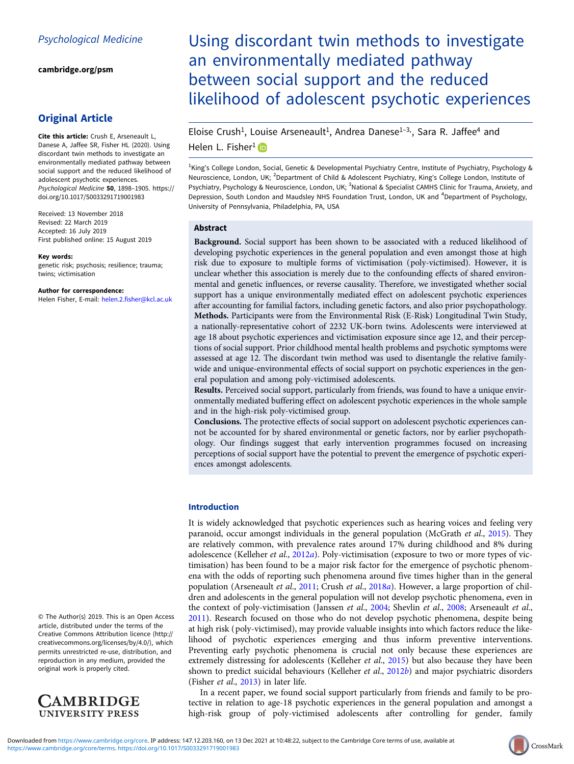[cambridge.org/psm](https://www.cambridge.org/psm)

# Original Article

Cite this article: Crush E, Arseneault L, Danese A, Jaffee SR, Fisher HL (2020). Using discordant twin methods to investigate an environmentally mediated pathway between social support and the reduced likelihood of adolescent psychotic experiences. Psychological Medicine 50, 1898–1905. [https://](https://doi.org/10.1017/S0033291719001983) [doi.org/10.1017/S0033291719001983](https://doi.org/10.1017/S0033291719001983)

Received: 13 November 2018 Revised: 22 March 2019 Accepted: 16 July 2019 First published online: 15 August 2019

#### Key words:

genetic risk; psychosis; resilience; trauma; twins; victimisation

Author for correspondence:

Helen Fisher, E-mail: [helen.2.fisher@kcl.ac.uk](mailto:helen.2.fisher@kcl.ac.uk)

© The Author(s) 2019. This is an Open Access article, distributed under the terms of the Creative Commons Attribution licence (http:// creativecommons.org/licenses/by/4.0/), which permits unrestricted re-use, distribution, and reproduction in any medium, provided the original work is properly cited.



# Using discordant twin methods to investigate an environmentally mediated pathway between social support and the reduced likelihood of adolescent psychotic experiences

# Eloise Crush<sup>1</sup>, Louise Arseneault<sup>1</sup>, Andrea Danese<sup>1-3</sup>, Sara R. Jaffee<sup>4</sup> and Helen L. Fisher<sup>1</sup> D

<sup>1</sup>King's College London, Social, Genetic & Developmental Psychiatry Centre, Institute of Psychiatry, Psychology & Neuroscience, London, UK; <sup>2</sup>Department of Child & Adolescent Psychiatry, King's College London, Institute of Psychiatry, Psychology & Neuroscience, London, UK; <sup>3</sup>National & Specialist CAMHS Clinic for Trauma, Anxiety, and Depression, South London and Maudsley NHS Foundation Trust, London, UK and <sup>4</sup>Department of Psychology, University of Pennsylvania, Philadelphia, PA, USA

## Abstract

Background. Social support has been shown to be associated with a reduced likelihood of developing psychotic experiences in the general population and even amongst those at high risk due to exposure to multiple forms of victimisation (poly-victimised). However, it is unclear whether this association is merely due to the confounding effects of shared environmental and genetic influences, or reverse causality. Therefore, we investigated whether social support has a unique environmentally mediated effect on adolescent psychotic experiences after accounting for familial factors, including genetic factors, and also prior psychopathology. Methods. Participants were from the Environmental Risk (E-Risk) Longitudinal Twin Study, a nationally-representative cohort of 2232 UK-born twins. Adolescents were interviewed at age 18 about psychotic experiences and victimisation exposure since age 12, and their perceptions of social support. Prior childhood mental health problems and psychotic symptoms were assessed at age 12. The discordant twin method was used to disentangle the relative familywide and unique-environmental effects of social support on psychotic experiences in the general population and among poly-victimised adolescents.

Results. Perceived social support, particularly from friends, was found to have a unique environmentally mediated buffering effect on adolescent psychotic experiences in the whole sample and in the high-risk poly-victimised group.

Conclusions. The protective effects of social support on adolescent psychotic experiences cannot be accounted for by shared environmental or genetic factors, nor by earlier psychopathology. Our findings suggest that early intervention programmes focused on increasing perceptions of social support have the potential to prevent the emergence of psychotic experiences amongst adolescents.

# Introduction

It is widely acknowledged that psychotic experiences such as hearing voices and feeling very paranoid, occur amongst individuals in the general population (McGrath et al., [2015\)](#page-7-0). They are relatively common, with prevalence rates around 17% during childhood and 8% during adolescence (Kelleher et al., [2012](#page-6-0)a). Poly-victimisation (exposure to two or more types of victimisation) has been found to be a major risk factor for the emergence of psychotic phenomena with the odds of reporting such phenomena around five times higher than in the general population (Arseneault et al., [2011](#page-6-0); Crush et al., [2018](#page-6-0)a). However, a large proportion of children and adolescents in the general population will not develop psychotic phenomena, even in the context of poly-victimisation (Janssen et al., [2004;](#page-6-0) Shevlin et al., [2008](#page-7-0); Arseneault et al., [2011\)](#page-6-0). Research focused on those who do not develop psychotic phenomena, despite being at high risk (poly-victimised), may provide valuable insights into which factors reduce the likelihood of psychotic experiences emerging and thus inform preventive interventions. Preventing early psychotic phenomena is crucial not only because these experiences are extremely distressing for adolescents (Kelleher et al., [2015\)](#page-6-0) but also because they have been shown to predict suicidal behaviours (Kelleher et al., [2012](#page-6-0)b) and major psychiatric disorders (Fisher et al., [2013\)](#page-6-0) in later life.

In a recent paper, we found social support particularly from friends and family to be protective in relation to age-18 psychotic experiences in the general population and amongst a high-risk group of poly-victimised adolescents after controlling for gender, family

CrossMark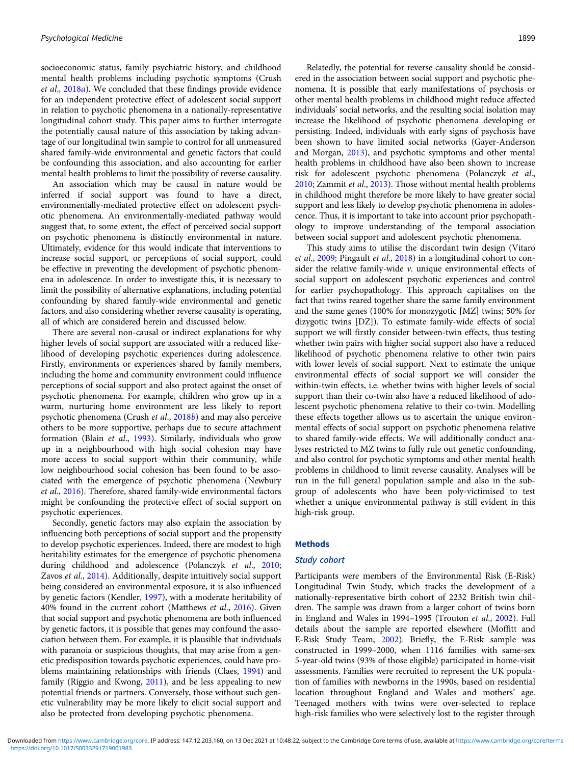socioeconomic status, family psychiatric history, and childhood mental health problems including psychotic symptoms (Crush et al., [2018](#page-6-0)a). We concluded that these findings provide evidence for an independent protective effect of adolescent social support in relation to psychotic phenomena in a nationally-representative longitudinal cohort study. This paper aims to further interrogate the potentially causal nature of this association by taking advantage of our longitudinal twin sample to control for all unmeasured shared family-wide environmental and genetic factors that could be confounding this association, and also accounting for earlier mental health problems to limit the possibility of reverse causality.

An association which may be causal in nature would be inferred if social support was found to have a direct, environmentally-mediated protective effect on adolescent psychotic phenomena. An environmentally-mediated pathway would suggest that, to some extent, the effect of perceived social support on psychotic phenomena is distinctly environmental in nature. Ultimately, evidence for this would indicate that interventions to increase social support, or perceptions of social support, could be effective in preventing the development of psychotic phenomena in adolescence. In order to investigate this, it is necessary to limit the possibility of alternative explanations, including potential confounding by shared family-wide environmental and genetic factors, and also considering whether reverse causality is operating, all of which are considered herein and discussed below.

There are several non-causal or indirect explanations for why higher levels of social support are associated with a reduced likelihood of developing psychotic experiences during adolescence. Firstly, environments or experiences shared by family members, including the home and community environment could influence perceptions of social support and also protect against the onset of psychotic phenomena. For example, children who grow up in a warm, nurturing home environment are less likely to report psychotic phenomena (Crush et al., [2018](#page-6-0)b) and may also perceive others to be more supportive, perhaps due to secure attachment formation (Blain et al., [1993\)](#page-6-0). Similarly, individuals who grow up in a neighbourhood with high social cohesion may have more access to social support within their community, while low neighbourhood social cohesion has been found to be associated with the emergence of psychotic phenomena (Newbury et al., [2016\)](#page-7-0). Therefore, shared family-wide environmental factors might be confounding the protective effect of social support on psychotic experiences.

Secondly, genetic factors may also explain the association by influencing both perceptions of social support and the propensity to develop psychotic experiences. Indeed, there are modest to high heritability estimates for the emergence of psychotic phenomena during childhood and adolescence (Polanczyk et al., [2010;](#page-7-0) Zavos et al., [2014\)](#page-7-0). Additionally, despite intuitively social support being considered an environmental exposure, it is also influenced by genetic factors (Kendler, [1997](#page-7-0)), with a moderate heritability of 40% found in the current cohort (Matthews et al., [2016\)](#page-7-0). Given that social support and psychotic phenomena are both influenced by genetic factors, it is possible that genes may confound the association between them. For example, it is plausible that individuals with paranoia or suspicious thoughts, that may arise from a genetic predisposition towards psychotic experiences, could have problems maintaining relationships with friends (Claes, [1994](#page-6-0)) and family (Riggio and Kwong, [2011\)](#page-7-0), and be less appealing to new potential friends or partners. Conversely, those without such genetic vulnerability may be more likely to elicit social support and also be protected from developing psychotic phenomena.

Relatedly, the potential for reverse causality should be considered in the association between social support and psychotic phenomena. It is possible that early manifestations of psychosis or other mental health problems in childhood might reduce affected individuals' social networks, and the resulting social isolation may increase the likelihood of psychotic phenomena developing or persisting. Indeed, individuals with early signs of psychosis have been shown to have limited social networks (Gayer-Anderson and Morgan, [2013](#page-6-0)), and psychotic symptoms and other mental health problems in childhood have also been shown to increase risk for adolescent psychotic phenomena (Polanczyk et al., [2010](#page-7-0); Zammit et al., [2013\)](#page-7-0). Those without mental health problems in childhood might therefore be more likely to have greater social support and less likely to develop psychotic phenomena in adolescence. Thus, it is important to take into account prior psychopathology to improve understanding of the temporal association between social support and adolescent psychotic phenomena.

This study aims to utilise the discordant twin design (Vitaro et al., [2009;](#page-7-0) Pingault et al., [2018](#page-7-0)) in a longitudinal cohort to consider the relative family-wide  $v$ . unique environmental effects of social support on adolescent psychotic experiences and control for earlier psychopathology. This approach capitalises on the fact that twins reared together share the same family environment and the same genes (100% for monozygotic [MZ] twins; 50% for dizygotic twins [DZ]). To estimate family-wide effects of social support we will firstly consider between-twin effects, thus testing whether twin pairs with higher social support also have a reduced likelihood of psychotic phenomena relative to other twin pairs with lower levels of social support. Next to estimate the unique environmental effects of social support we will consider the within-twin effects, i.e. whether twins with higher levels of social support than their co-twin also have a reduced likelihood of adolescent psychotic phenomena relative to their co-twin. Modelling these effects together allows us to ascertain the unique environmental effects of social support on psychotic phenomena relative to shared family-wide effects. We will additionally conduct analyses restricted to MZ twins to fully rule out genetic confounding, and also control for psychotic symptoms and other mental health problems in childhood to limit reverse causality. Analyses will be run in the full general population sample and also in the subgroup of adolescents who have been poly-victimised to test whether a unique environmental pathway is still evident in this high-risk group.

## Methods

#### Study cohort

Participants were members of the Environmental Risk (E-Risk) Longitudinal Twin Study, which tracks the development of a nationally-representative birth cohort of 2232 British twin children. The sample was drawn from a larger cohort of twins born in England and Wales in 1994–1995 (Trouton et al., [2002](#page-7-0)). Full details about the sample are reported elsewhere (Moffitt and E-Risk Study Team, [2002\)](#page-7-0). Briefly, the E-Risk sample was constructed in 1999–2000, when 1116 families with same-sex 5-year-old twins (93% of those eligible) participated in home-visit assessments. Families were recruited to represent the UK population of families with newborns in the 1990s, based on residential location throughout England and Wales and mothers' age. Teenaged mothers with twins were over-selected to replace high-risk families who were selectively lost to the register through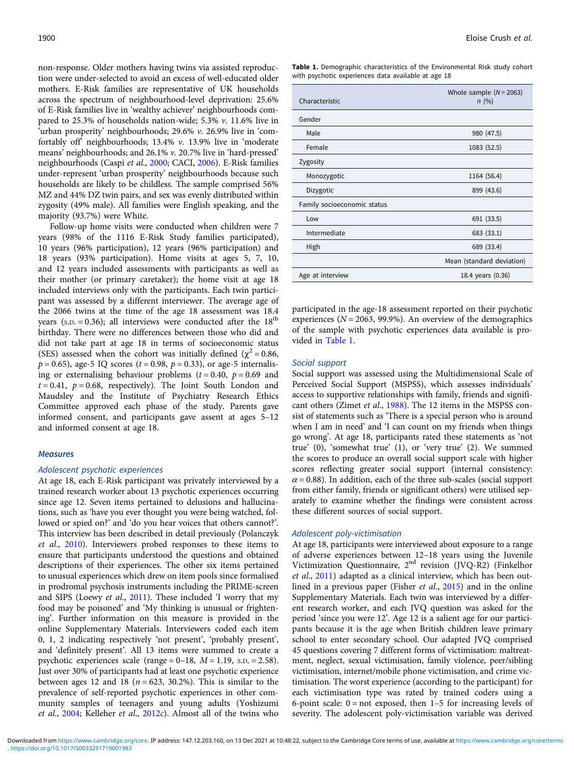non-response. Older mothers having twins via assisted reproduction were under-selected to avoid an excess of well-educated older mothers. E-Risk families are representative of UK households across the spectrum of neighbourhood-level deprivation: 25.6% of E-Risk families live in 'wealthy achiever' neighbourhoods compared to 25.3% of households nation-wide; 5.3% v. 11.6% live in 'urban prosperity' neighbourhoods; 29.6% v. 26.9% live in 'comfortably off' neighbourhoods; 13.4% v. 13.9% live in 'moderate means' neighbourhoods; and 26.1% v. 20.7% live in 'hard-pressed' neighbourhoods (Caspi et al., [2000;](#page-6-0) CACI, [2006](#page-6-0)). E-Risk families under-represent 'urban prosperity' neighbourhoods because such households are likely to be childless. The sample comprised 56% MZ and 44% DZ twin pairs, and sex was evenly distributed within zygosity (49% male). All families were English speaking, and the majority (93.7%) were White.

Follow-up home visits were conducted when children were 7 years (98% of the 1116 E-Risk Study families participated), 10 years (96% participation), 12 years (96% participation) and 18 years (93% participation). Home visits at ages 5, 7, 10, and 12 years included assessments with participants as well as their mother (or primary caretaker); the home visit at age 18 included interviews only with the participants. Each twin participant was assessed by a different interviewer. The average age of the 2066 twins at the time of the age 18 assessment was 18.4 years (s.p. =  $0.36$ ); all interviews were conducted after the  $18<sup>th</sup>$ birthday. There were no differences between those who did and did not take part at age 18 in terms of socioeconomic status (SES) assessed when the cohort was initially defined ( $\chi^2$  = 0.86,  $p = 0.65$ ), age-5 IQ scores ( $t = 0.98$ ,  $p = 0.33$ ), or age-5 internalising or externalising behaviour problems  $(t = 0.40, p = 0.69, q = 0.69)$  $t = 0.41$ ,  $p = 0.68$ , respectively). The Joint South London and Maudsley and the Institute of Psychiatry Research Ethics Committee approved each phase of the study. Parents gave informed consent, and participants gave assent at ages 5–12 and informed consent at age 18.

#### **Measures**

#### Adolescent psychotic experiences

At age 18, each E-Risk participant was privately interviewed by a trained research worker about 13 psychotic experiences occurring since age 12. Seven items pertained to delusions and hallucinations, such as 'have you ever thought you were being watched, followed or spied on?' and 'do you hear voices that others cannot?'. This interview has been described in detail previously (Polanczyk et al., [2010](#page-7-0)). Interviewers probed responses to these items to ensure that participants understood the questions and obtained descriptions of their experiences. The other six items pertained to unusual experiences which drew on item pools since formalised in prodromal psychosis instruments including the PRIME-screen and SIPS (Loewy et al., [2011\)](#page-7-0). These included 'I worry that my food may be poisoned' and 'My thinking is unusual or frightening'. Further information on this measure is provided in the online Supplementary Materials. Interviewers coded each item 0, 1, 2 indicating respectively 'not present', 'probably present', and 'definitely present'. All 13 items were summed to create a psychotic experiences scale (range =  $0-18$ ,  $M = 1.19$ , s.p. = 2.58). Just over 30% of participants had at least one psychotic experience between ages 12 and 18 ( $n = 623$ , 30.2%). This is similar to the prevalence of self-reported psychotic experiences in other community samples of teenagers and young adults (Yoshizumi et al., [2004;](#page-7-0) Kelleher et al., [2012](#page-6-0)c). Almost all of the twins who

Table 1. Demographic characteristics of the Environmental Risk study cohort with psychotic experiences data available at age 18

| Characteristic              | Whole sample $(N = 2063)$<br>n(%) |  |  |  |  |
|-----------------------------|-----------------------------------|--|--|--|--|
| Gender                      |                                   |  |  |  |  |
| Male                        | 980 (47.5)                        |  |  |  |  |
| Female                      | 1083 (52.5)                       |  |  |  |  |
| Zygosity                    |                                   |  |  |  |  |
| Monozygotic                 | 1164 (56.4)                       |  |  |  |  |
| Dizygotic                   | 899 (43.6)                        |  |  |  |  |
| Family socioeconomic status |                                   |  |  |  |  |
| Low                         | 691 (33.5)                        |  |  |  |  |
| Intermediate                | 683 (33.1)                        |  |  |  |  |
| High                        | 689 (33.4)                        |  |  |  |  |
|                             | Mean (standard deviation)         |  |  |  |  |
| Age at interview            | 18.4 years (0.36)                 |  |  |  |  |

participated in the age-18 assessment reported on their psychotic experiences ( $N = 2063$ , 99.9%). An overview of the demographics of the sample with psychotic experiences data available is provided in Table 1.

#### Social support

Social support was assessed using the Multidimensional Scale of Perceived Social Support (MSPSS), which assesses individuals' access to supportive relationships with family, friends and significant others (Zimet et al., [1988](#page-7-0)). The 12 items in the MSPSS consist of statements such as 'There is a special person who is around when I am in need' and 'I can count on my friends when things go wrong'. At age 18, participants rated these statements as 'not true' (0), 'somewhat true' (1), or 'very true' (2). We summed the scores to produce an overall social support scale with higher scores reflecting greater social support (internal consistency:  $\alpha$  = 0.88). In addition, each of the three sub-scales (social support from either family, friends or significant others) were utilised separately to examine whether the findings were consistent across these different sources of social support.

#### Adolescent poly-victimisation

At age 18, participants were interviewed about exposure to a range of adverse experiences between 12–18 years using the Juvenile Victimization Questionnaire, 2<sup>nd</sup> revision (JVQ-R2) (Finkelhor et al., [2011\)](#page-6-0) adapted as a clinical interview, which has been outlined in a previous paper (Fisher et al., [2015\)](#page-6-0) and in the online Supplementary Materials. Each twin was interviewed by a different research worker, and each JVQ question was asked for the period 'since you were 12'. Age 12 is a salient age for our participants because it is the age when British children leave primary school to enter secondary school. Our adapted JVQ comprised 45 questions covering 7 different forms of victimisation: maltreatment, neglect, sexual victimisation, family violence, peer/sibling victimisation, internet/mobile phone victimisation, and crime victimisation. The worst experience (according to the participant) for each victimisation type was rated by trained coders using a 6-point scale:  $0 = not exposed$ , then  $1-5$  for increasing levels of severity. The adolescent poly-victimisation variable was derived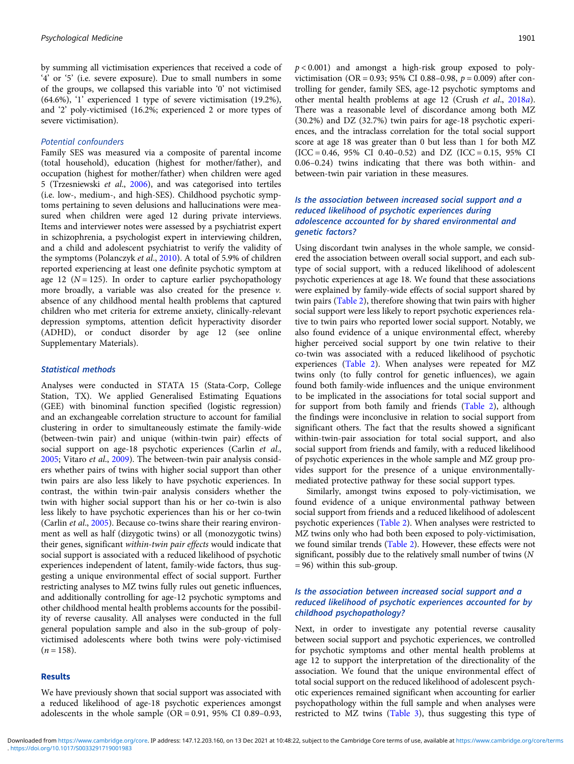by summing all victimisation experiences that received a code of '4' or '5' (i.e. severe exposure). Due to small numbers in some of the groups, we collapsed this variable into '0' not victimised (64.6%), '1' experienced 1 type of severe victimisation (19.2%), and '2' poly-victimised (16.2%; experienced 2 or more types of severe victimisation).

#### Potential confounders

Family SES was measured via a composite of parental income (total household), education (highest for mother/father), and occupation (highest for mother/father) when children were aged 5 (Trzesniewski et al., [2006](#page-7-0)), and was categorised into tertiles (i.e. low-, medium-, and high-SES). Childhood psychotic symptoms pertaining to seven delusions and hallucinations were measured when children were aged 12 during private interviews. Items and interviewer notes were assessed by a psychiatrist expert in schizophrenia, a psychologist expert in interviewing children, and a child and adolescent psychiatrist to verify the validity of the symptoms (Polanczyk et al., [2010\)](#page-7-0). A total of 5.9% of children reported experiencing at least one definite psychotic symptom at age 12 ( $N = 125$ ). In order to capture earlier psychopathology more broadly, a variable was also created for the presence  $\nu$ . absence of any childhood mental health problems that captured children who met criteria for extreme anxiety, clinically-relevant depression symptoms, attention deficit hyperactivity disorder (ADHD), or conduct disorder by age 12 (see online Supplementary Materials).

# Statistical methods

Analyses were conducted in STATA 15 (Stata-Corp, College Station, TX). We applied Generalised Estimating Equations (GEE) with binominal function specified (logistic regression) and an exchangeable correlation structure to account for familial clustering in order to simultaneously estimate the family-wide (between-twin pair) and unique (within-twin pair) effects of social support on age-18 psychotic experiences (Carlin et al., [2005;](#page-6-0) Vitaro et al., [2009](#page-7-0)). The between-twin pair analysis considers whether pairs of twins with higher social support than other twin pairs are also less likely to have psychotic experiences. In contrast, the within twin-pair analysis considers whether the twin with higher social support than his or her co-twin is also less likely to have psychotic experiences than his or her co-twin (Carlin et al., [2005\)](#page-6-0). Because co-twins share their rearing environment as well as half (dizygotic twins) or all (monozygotic twins) their genes, significant within-twin pair effects would indicate that social support is associated with a reduced likelihood of psychotic experiences independent of latent, family-wide factors, thus suggesting a unique environmental effect of social support. Further restricting analyses to MZ twins fully rules out genetic influences, and additionally controlling for age-12 psychotic symptoms and other childhood mental health problems accounts for the possibility of reverse causality. All analyses were conducted in the full general population sample and also in the sub-group of polyvictimised adolescents where both twins were poly-victimised  $(n = 158)$ .

#### Results

We have previously shown that social support was associated with a reduced likelihood of age-18 psychotic experiences amongst adolescents in the whole sample  $(OR = 0.91, 95\% \text{ CI } 0.89-0.93,$ 

 $p < 0.001$ ) and amongst a high-risk group exposed to polyvictimisation (OR = 0.93; 95% CI 0.88–0.98,  $p = 0.009$ ) after controlling for gender, family SES, age-12 psychotic symptoms and other mental health problems at age 12 (Crush et al., [2018](#page-6-0)a). There was a reasonable level of discordance among both MZ (30.2%) and DZ (32.7%) twin pairs for age-18 psychotic experiences, and the intraclass correlation for the total social support score at age 18 was greater than 0 but less than 1 for both MZ  $(ICC = 0.46, 95\% CI 0.40-0.52)$  and DZ  $(ICC = 0.15, 95\% CI 0.40-0.52)$ 0.06–0.24) twins indicating that there was both within- and between-twin pair variation in these measures.

# Is the association between increased social support and a reduced likelihood of psychotic experiences during adolescence accounted for by shared environmental and genetic factors?

Using discordant twin analyses in the whole sample, we considered the association between overall social support, and each subtype of social support, with a reduced likelihood of adolescent psychotic experiences at age 18. We found that these associations were explained by family-wide effects of social support shared by twin pairs ([Table 2](#page-4-0)), therefore showing that twin pairs with higher social support were less likely to report psychotic experiences relative to twin pairs who reported lower social support. Notably, we also found evidence of a unique environmental effect, whereby higher perceived social support by one twin relative to their co-twin was associated with a reduced likelihood of psychotic experiences [\(Table 2](#page-4-0)). When analyses were repeated for MZ twins only (to fully control for genetic influences), we again found both family-wide influences and the unique environment to be implicated in the associations for total social support and for support from both family and friends [\(Table 2](#page-4-0)), although the findings were inconclusive in relation to social support from significant others. The fact that the results showed a significant within-twin-pair association for total social support, and also social support from friends and family, with a reduced likelihood of psychotic experiences in the whole sample and MZ group provides support for the presence of a unique environmentallymediated protective pathway for these social support types.

Similarly, amongst twins exposed to poly-victimisation, we found evidence of a unique environmental pathway between social support from friends and a reduced likelihood of adolescent psychotic experiences [\(Table 2](#page-4-0)). When analyses were restricted to MZ twins only who had both been exposed to poly-victimisation, we found similar trends [\(Table 2\)](#page-4-0). However, these effects were not significant, possibly due to the relatively small number of twins (N = 96) within this sub-group.

# Is the association between increased social support and a reduced likelihood of psychotic experiences accounted for by childhood psychopathology?

Next, in order to investigate any potential reverse causality between social support and psychotic experiences, we controlled for psychotic symptoms and other mental health problems at age 12 to support the interpretation of the directionality of the association. We found that the unique environmental effect of total social support on the reduced likelihood of adolescent psychotic experiences remained significant when accounting for earlier psychopathology within the full sample and when analyses were restricted to MZ twins ([Table 3\)](#page-4-0), thus suggesting this type of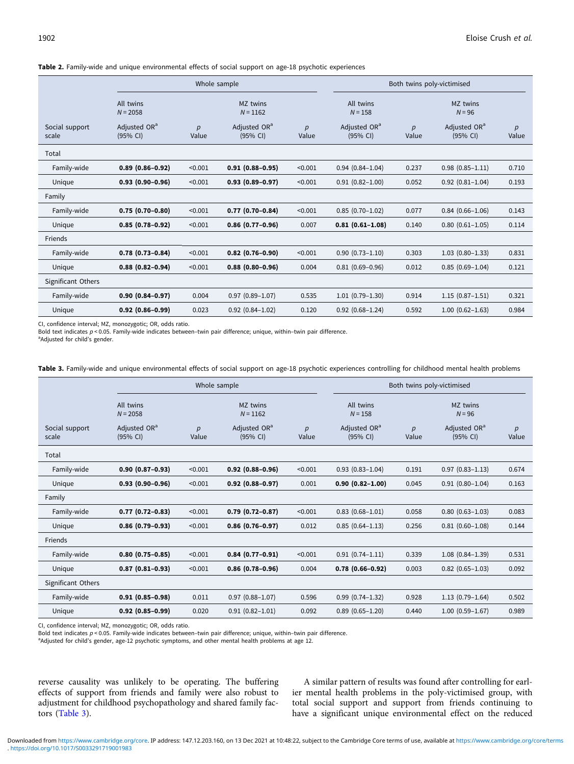#### <span id="page-4-0"></span>Table 2. Family-wide and unique environmental effects of social support on age-18 psychotic experiences

|                         |                                      | Whole sample              | Both twins poly-victimised           |            |                                      |                           |                                      |            |
|-------------------------|--------------------------------------|---------------------------|--------------------------------------|------------|--------------------------------------|---------------------------|--------------------------------------|------------|
|                         | All twins<br>$N = 2058$              |                           | MZ twins<br>$N = 1162$               |            | All twins<br>$N = 158$               |                           | MZ twins<br>$N = 96$                 |            |
| Social support<br>scale | Adjusted OR <sup>a</sup><br>(95% CI) | $\boldsymbol{D}$<br>Value | Adjusted OR <sup>a</sup><br>(95% CI) | p<br>Value | Adjusted OR <sup>a</sup><br>(95% CI) | $\boldsymbol{D}$<br>Value | Adjusted OR <sup>a</sup><br>(95% CI) | p<br>Value |
| Total                   |                                      |                           |                                      |            |                                      |                           |                                      |            |
| Family-wide             | $0.89(0.86 - 0.92)$                  | < 0.001                   | $0.91(0.88 - 0.95)$                  | < 0.001    | $0.94(0.84 - 1.04)$                  | 0.237                     | $0.98(0.85 - 1.11)$                  | 0.710      |
| Unique                  | $0.93(0.90-0.96)$                    | < 0.001                   | $0.93(0.89 - 0.97)$                  | < 0.001    | $0.91(0.82 - 1.00)$                  | 0.052                     | $0.92(0.81 - 1.04)$                  | 0.193      |
| Family                  |                                      |                           |                                      |            |                                      |                           |                                      |            |
| Family-wide             | $0.75(0.70-0.80)$                    | < 0.001                   | $0.77$ $(0.70 - 0.84)$               | < 0.001    | $0.85(0.70-1.02)$                    | 0.077                     | $0.84(0.66 - 1.06)$                  | 0.143      |
| Unique                  | $0.85(0.78-0.92)$                    | < 0.001                   | $0.86(0.77-0.96)$                    | 0.007      | $0.81(0.61 - 1.08)$                  | 0.140                     | $0.80(0.61 - 1.05)$                  | 0.114      |
| Friends                 |                                      |                           |                                      |            |                                      |                           |                                      |            |
| Family-wide             | $0.78(0.73-0.84)$                    | < 0.001                   | $0.82$ (0.76-0.90)                   | < 0.001    | $0.90(0.73 - 1.10)$                  | 0.303                     | $1.03(0.80-1.33)$                    | 0.831      |
| Unique                  | $0.88(0.82 - 0.94)$                  | < 0.001                   | $0.88$ $(0.80 - 0.96)$               | 0.004      | $0.81(0.69 - 0.96)$                  | 0.012                     | $0.85(0.69 - 1.04)$                  | 0.121      |
| Significant Others      |                                      |                           |                                      |            |                                      |                           |                                      |            |
| Family-wide             | $0.90(0.84 - 0.97)$                  | 0.004                     | $0.97(0.89 - 1.07)$                  | 0.535      | $1.01(0.79-1.30)$                    | 0.914                     | $1.15(0.87 - 1.51)$                  | 0.321      |
| Unique                  | $0.92(0.86 - 0.99)$                  | 0.023                     | $0.92$ $(0.84 - 1.02)$               | 0.120      | $0.92$ $(0.68 - 1.24)$               | 0.592                     | $1.00(0.62 - 1.63)$                  | 0.984      |

CI, confidence interval; MZ, monozygotic; OR, odds ratio.

Bold text indicates  $p < 0.05$ . Family-wide indicates between-twin pair difference; unique, within-twin pair difference.

<sup>a</sup>Adjusted for child's gender.

|  | Table 3. Family-wide and unique environmental effects of social support on age-18 psychotic experiences controlling for childhood mental health problems |  |  |  |  |  |
|--|----------------------------------------------------------------------------------------------------------------------------------------------------------|--|--|--|--|--|
|  |                                                                                                                                                          |  |  |  |  |  |

|                         |                                      | Whole sample              | Both twins poly-victimised           |            |                                      |                           |                                      |                           |
|-------------------------|--------------------------------------|---------------------------|--------------------------------------|------------|--------------------------------------|---------------------------|--------------------------------------|---------------------------|
|                         | All twins<br>$N = 2058$              | MZ twins<br>$N = 1162$    |                                      |            | All twins<br>$N = 158$               | MZ twins<br>$N = 96$      |                                      |                           |
| Social support<br>scale | Adjusted OR <sup>a</sup><br>(95% CI) | $\boldsymbol{p}$<br>Value | Adjusted OR <sup>a</sup><br>(95% CI) | р<br>Value | Adjusted OR <sup>a</sup><br>(95% CI) | $\boldsymbol{p}$<br>Value | Adjusted OR <sup>a</sup><br>(95% CI) | $\boldsymbol{p}$<br>Value |
| Total                   |                                      |                           |                                      |            |                                      |                           |                                      |                           |
| Family-wide             | $0.90(0.87-0.93)$                    | < 0.001                   | $0.92(0.88 - 0.96)$                  | < 0.001    | $0.93(0.83 - 1.04)$                  | 0.191                     | $0.97(0.83 - 1.13)$                  | 0.674                     |
| Unique                  | $0.93(0.90 - 0.96)$                  | < 0.001                   | $0.92(0.88 - 0.97)$                  | 0.001      | $0.90(0.82 - 1.00)$                  | 0.045                     | $0.91(0.80 - 1.04)$                  | 0.163                     |
| Family                  |                                      |                           |                                      |            |                                      |                           |                                      |                           |
| Family-wide             | $0.77$ $(0.72 - 0.83)$               | < 0.001                   | $0.79(0.72 - 0.87)$                  | < 0.001    | $0.83$ $(0.68 - 1.01)$               | 0.058                     | $0.80(0.63 - 1.03)$                  | 0.083                     |
| Unique                  | $0.86$ (0.79-0.93)                   | < 0.001                   | $0.86(0.76-0.97)$                    | 0.012      | $0.85(0.64 - 1.13)$                  | 0.256                     | $0.81(0.60 - 1.08)$                  | 0.144                     |
| Friends                 |                                      |                           |                                      |            |                                      |                           |                                      |                           |
| Family-wide             | $0.80(0.75-0.85)$                    | < 0.001                   | $0.84$ (0.77-0.91)                   | < 0.001    | $0.91(0.74 - 1.11)$                  | 0.339                     | $1.08(0.84 - 1.39)$                  | 0.531                     |
| Unique                  | $0.87(0.81 - 0.93)$                  | < 0.001                   | $0.86(0.78-0.96)$                    | 0.004      | $0.78(0.66 - 0.92)$                  | 0.003                     | $0.82$ (0.65-1.03)                   | 0.092                     |
| Significant Others      |                                      |                           |                                      |            |                                      |                           |                                      |                           |
| Family-wide             | $0.91(0.85 - 0.98)$                  | 0.011                     | $0.97(0.88 - 1.07)$                  | 0.596      | $0.99(0.74 - 1.32)$                  | 0.928                     | $1.13(0.79-1.64)$                    | 0.502                     |
| Unique                  | $0.92(0.85-0.99)$                    | 0.020                     | $0.91(0.82 - 1.01)$                  | 0.092      | $0.89(0.65 - 1.20)$                  | 0.440                     | $1.00(0.59 - 1.67)$                  | 0.989                     |

CI, confidence interval; MZ, monozygotic; OR, odds ratio.

Bold text indicates  $p < 0.05$ . Family-wide indicates between-twin pair difference; unique, within-twin pair difference.

<sup>a</sup>Adjusted for child's gender, age-12 psychotic symptoms, and other mental health problems at age 12.

reverse causality was unlikely to be operating. The buffering effects of support from friends and family were also robust to adjustment for childhood psychopathology and shared family factors (Table 3).

A similar pattern of results was found after controlling for earlier mental health problems in the poly-victimised group, with total social support and support from friends continuing to have a significant unique environmental effect on the reduced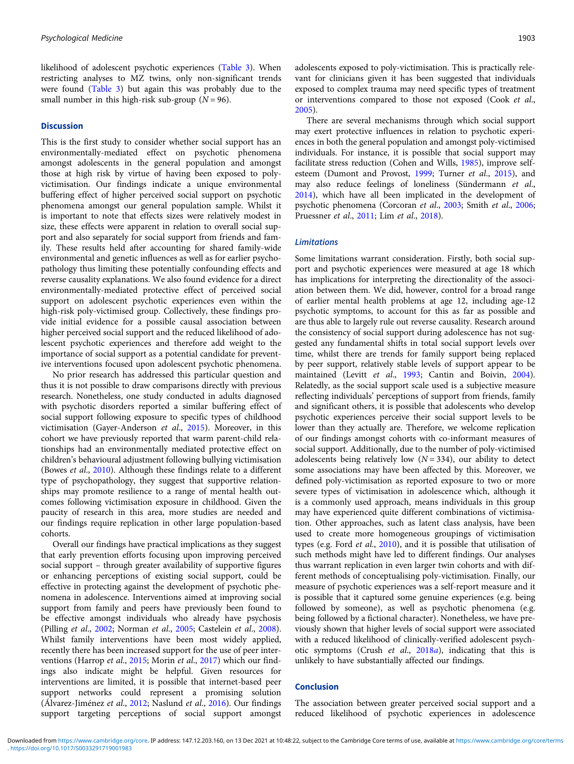likelihood of adolescent psychotic experiences ([Table 3](#page-4-0)). When restricting analyses to MZ twins, only non-significant trends were found ([Table 3\)](#page-4-0) but again this was probably due to the small number in this high-risk sub-group  $(N = 96)$ .

#### **Discussion**

This is the first study to consider whether social support has an environmentally-mediated effect on psychotic phenomena amongst adolescents in the general population and amongst those at high risk by virtue of having been exposed to polyvictimisation. Our findings indicate a unique environmental buffering effect of higher perceived social support on psychotic phenomena amongst our general population sample. Whilst it is important to note that effects sizes were relatively modest in size, these effects were apparent in relation to overall social support and also separately for social support from friends and family. These results held after accounting for shared family-wide environmental and genetic influences as well as for earlier psychopathology thus limiting these potentially confounding effects and reverse causality explanations. We also found evidence for a direct environmentally-mediated protective effect of perceived social support on adolescent psychotic experiences even within the high-risk poly-victimised group. Collectively, these findings provide initial evidence for a possible causal association between higher perceived social support and the reduced likelihood of adolescent psychotic experiences and therefore add weight to the importance of social support as a potential candidate for preventive interventions focused upon adolescent psychotic phenomena.

No prior research has addressed this particular question and thus it is not possible to draw comparisons directly with previous research. Nonetheless, one study conducted in adults diagnosed with psychotic disorders reported a similar buffering effect of social support following exposure to specific types of childhood victimisation (Gayer-Anderson et al., [2015\)](#page-6-0). Moreover, in this cohort we have previously reported that warm parent-child relationships had an environmentally mediated protective effect on children's behavioural adjustment following bullying victimisation (Bowes et al., [2010\)](#page-6-0). Although these findings relate to a different type of psychopathology, they suggest that supportive relationships may promote resilience to a range of mental health outcomes following victimisation exposure in childhood. Given the paucity of research in this area, more studies are needed and our findings require replication in other large population-based cohorts.

Overall our findings have practical implications as they suggest that early prevention efforts focusing upon improving perceived social support – through greater availability of supportive figures or enhancing perceptions of existing social support, could be effective in protecting against the development of psychotic phenomena in adolescence. Interventions aimed at improving social support from family and peers have previously been found to be effective amongst individuals who already have psychosis (Pilling et al., [2002;](#page-7-0) Norman et al., [2005](#page-7-0); Castelein et al., [2008\)](#page-6-0). Whilst family interventions have been most widely applied, recently there has been increased support for the use of peer inter-ventions (Harrop et al., [2015](#page-6-0); Morin et al., [2017\)](#page-7-0) which our findings also indicate might be helpful. Given resources for interventions are limited, it is possible that internet-based peer support networks could represent a promising solution (Álvarez-Jiménez et al., [2012;](#page-6-0) Naslund et al., [2016\)](#page-7-0). Our findings support targeting perceptions of social support amongst

adolescents exposed to poly-victimisation. This is practically relevant for clinicians given it has been suggested that individuals exposed to complex trauma may need specific types of treatment or interventions compared to those not exposed (Cook et al., [2005](#page-6-0)).

There are several mechanisms through which social support may exert protective influences in relation to psychotic experiences in both the general population and amongst poly-victimised individuals. For instance, it is possible that social support may facilitate stress reduction (Cohen and Wills, [1985\)](#page-6-0), improve selfesteem (Dumont and Provost, [1999;](#page-6-0) Turner et al., [2015](#page-7-0)), and may also reduce feelings of loneliness (Sündermann et al., [2014](#page-7-0)), which have all been implicated in the development of psychotic phenomena (Corcoran et al., [2003;](#page-6-0) Smith et al., [2006](#page-7-0); Pruessner et al., [2011;](#page-7-0) Lim et al., [2018\)](#page-7-0).

# Limitations

Some limitations warrant consideration. Firstly, both social support and psychotic experiences were measured at age 18 which has implications for interpreting the directionality of the association between them. We did, however, control for a broad range of earlier mental health problems at age 12, including age-12 psychotic symptoms, to account for this as far as possible and are thus able to largely rule out reverse causality. Research around the consistency of social support during adolescence has not suggested any fundamental shifts in total social support levels over time, whilst there are trends for family support being replaced by peer support, relatively stable levels of support appear to be maintained (Levitt et al., [1993](#page-7-0); Cantin and Boivin, [2004](#page-6-0)). Relatedly, as the social support scale used is a subjective measure reflecting individuals' perceptions of support from friends, family and significant others, it is possible that adolescents who develop psychotic experiences perceive their social support levels to be lower than they actually are. Therefore, we welcome replication of our findings amongst cohorts with co-informant measures of social support. Additionally, due to the number of poly-victimised adolescents being relatively low  $(N = 334)$ , our ability to detect some associations may have been affected by this. Moreover, we defined poly-victimisation as reported exposure to two or more severe types of victimisation in adolescence which, although it is a commonly used approach, means individuals in this group may have experienced quite different combinations of victimisation. Other approaches, such as latent class analysis, have been used to create more homogeneous groupings of victimisation types (e.g. Ford et al., [2010\)](#page-6-0), and it is possible that utilisation of such methods might have led to different findings. Our analyses thus warrant replication in even larger twin cohorts and with different methods of conceptualising poly-victimisation. Finally, our measure of psychotic experiences was a self-report measure and it is possible that it captured some genuine experiences (e.g. being followed by someone), as well as psychotic phenomena (e.g. being followed by a fictional character). Nonetheless, we have previously shown that higher levels of social support were associated with a reduced likelihood of clinically-verified adolescent psychotic symptoms (Crush et al., [2018](#page-6-0)a), indicating that this is unlikely to have substantially affected our findings.

# Conclusion

The association between greater perceived social support and a reduced likelihood of psychotic experiences in adolescence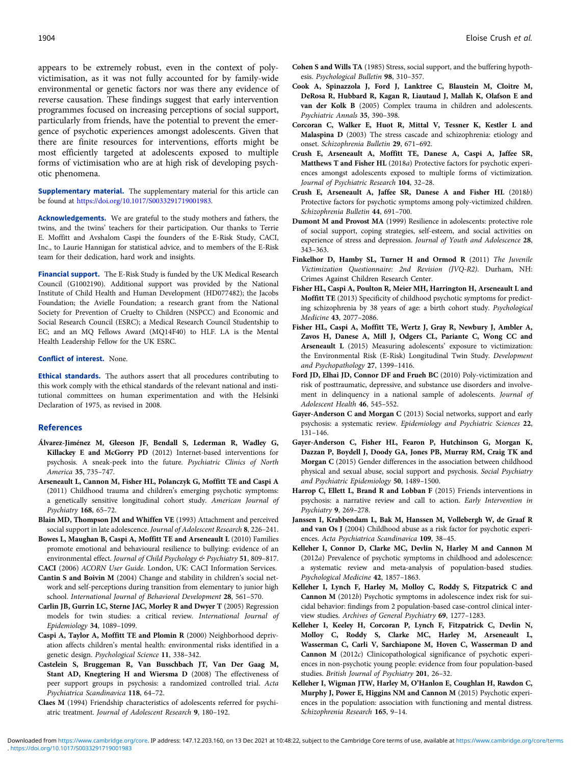<span id="page-6-0"></span>appears to be extremely robust, even in the context of polyvictimisation, as it was not fully accounted for by family-wide environmental or genetic factors nor was there any evidence of reverse causation. These findings suggest that early intervention programmes focused on increasing perceptions of social support, particularly from friends, have the potential to prevent the emergence of psychotic experiences amongst adolescents. Given that there are finite resources for interventions, efforts might be most efficiently targeted at adolescents exposed to multiple forms of victimisation who are at high risk of developing psychotic phenomena.

Supplementary material. The supplementary material for this article can be found at <https://doi.org/10.1017/S0033291719001983>.

Acknowledgements. We are grateful to the study mothers and fathers, the twins, and the twins' teachers for their participation. Our thanks to Terrie E. Moffitt and Avshalom Caspi the founders of the E-Risk Study, CACI, Inc., to Laurie Hannigan for statistical advice, and to members of the E-Risk team for their dedication, hard work and insights.

Financial support. The E-Risk Study is funded by the UK Medical Research Council (G1002190). Additional support was provided by the National Institute of Child Health and Human Development (HD077482); the Jacobs Foundation; the Avielle Foundation; a research grant from the National Society for Prevention of Cruelty to Children (NSPCC) and Economic and Social Research Council (ESRC); a Medical Research Council Studentship to EC; and an MQ Fellows Award (MQ14F40) to HLF. LA is the Mental Health Leadership Fellow for the UK ESRC.

#### Conflict of interest. None.

Ethical standards. The authors assert that all procedures contributing to this work comply with the ethical standards of the relevant national and institutional committees on human experimentation and with the Helsinki Declaration of 1975, as revised in 2008.

#### References

- Álvarez-Jiménez M, Gleeson JF, Bendall S, Lederman R, Wadley G, Killackey E and McGorry PD (2012) Internet-based interventions for psychosis. A sneak-peek into the future. Psychiatric Clinics of North America 35, 735–747.
- Arseneault L, Cannon M, Fisher HL, Polanczyk G, Moffitt TE and Caspi A (2011) Childhood trauma and children's emerging psychotic symptoms: a genetically sensitive longitudinal cohort study. American Journal of Psychiatry 168, 65–72.
- Blain MD, Thompson JM and Whiffen VE (1993) Attachment and perceived social support in late adolescence. Journal of Adolescent Research 8, 226–241.
- Bowes L, Maughan B, Caspi A, Moffitt TE and Arseneault L (2010) Families promote emotional and behavioural resilience to bullying: evidence of an environmental effect. Journal of Child Psychology & Psychiatry 51, 809-817.
- CACI (2006) ACORN User Guide. London, UK: CACI Information Services. Cantin S and Boivin M (2004) Change and stability in children's social network and self-perceptions during transition from elementary to junior high school. International Journal of Behavioral Development 28, 561–570.
- Carlin JB, Gurrin LC, Sterne JAC, Morley R and Dwyer T (2005) Regression models for twin studies: a critical review. International Journal of Epidemiology 34, 1089–1099.
- Caspi A, Taylor A, Moffitt TE and Plomin R (2000) Neighborhood deprivation affects children's mental health: environmental risks identified in a genetic design. Psychological Science 11, 338–342.
- Castelein S, Bruggeman R, Van Busschbach JT, Van Der Gaag M, Stant AD, Knegtering H and Wiersma D (2008) The effectiveness of peer support groups in psychosis: a randomized controlled trial. Acta Psychiatrica Scandinavica 118, 64–72.
- Claes M (1994) Friendship characteristics of adolescents referred for psychiatric treatment. Journal of Adolescent Research 9, 180–192.
- Cohen S and Wills TA (1985) Stress, social support, and the buffering hypothesis. Psychological Bulletin 98, 310–357.
- Cook A, Spinazzola J, Ford J, Lanktree C, Blaustein M, Cloitre M, DeRosa R, Hubbard R, Kagan R, Liautaud J, Mallah K, Olafson E and van der Kolk B (2005) Complex trauma in children and adolescents. Psychiatric Annals 35, 390–398.
- Corcoran C, Walker E, Huot R, Mittal V, Tessner K, Kestler L and Malaspina D (2003) The stress cascade and schizophrenia: etiology and onset. Schizophrenia Bulletin 29, 671–692.
- Crush E, Arseneault A, Moffitt TE, Danese A, Caspi A, Jaffee SR, Matthews T and Fisher HL (2018a) Protective factors for psychotic experiences amongst adolescents exposed to multiple forms of victimization. Journal of Psychiatric Research 104, 32–28.
- Crush E, Arseneault A, Jaffee SR, Danese A and Fisher HL (2018b) Protective factors for psychotic symptoms among poly-victimized children. Schizophrenia Bulletin 44, 691–700.
- Dumont M and Provost MA (1999) Resilience in adolescents: protective role of social support, coping strategies, self-esteem, and social activities on experience of stress and depression. Journal of Youth and Adolescence 28, 343–363.
- Finkelhor D, Hamby SL, Turner H and Ormod R (2011) The Juvenile Victimization Questionnaire: 2nd Revision (JVQ-R2). Durham, NH: Crimes Against Children Research Center.
- Fisher HL, Caspi A, Poulton R, Meier MH, Harrington H, Arseneault L and Moffitt TE (2013) Specificity of childhood psychotic symptoms for predicting schizophrenia by 38 years of age: a birth cohort study. Psychological Medicine 43, 2077–2086.
- Fisher HL, Caspi A, Moffitt TE, Wertz J, Gray R, Newbury J, Ambler A, Zavos H, Danese A, Mill J, Odgers CL, Pariante C, Wong CC and Arseneault L (2015) Measuring adolescents' exposure to victimization: the Environmental Risk (E-Risk) Longitudinal Twin Study. Development and Psychopathology 27, 1399–1416.
- Ford JD, Elhai JD, Connor DF and Frueh BC (2010) Poly-victimization and risk of posttraumatic, depressive, and substance use disorders and involvement in delinquency in a national sample of adolescents. Journal of Adolescent Health 46, 545–552.
- Gayer-Anderson C and Morgan C (2013) Social networks, support and early psychosis: a systematic review. Epidemiology and Psychiatric Sciences 22, 131–146.
- Gayer-Anderson C, Fisher HL, Fearon P, Hutchinson G, Morgan K, Dazzan P, Boydell J, Doody GA, Jones PB, Murray RM, Craig TK and Morgan C (2015) Gender differences in the association between childhood physical and sexual abuse, social support and psychosis. Social Psychiatry and Psychiatric Epidemiology 50, 1489–1500.
- Harrop C, Ellett L, Brand R and Lobban F (2015) Friends interventions in psychosis: a narrative review and call to action. Early Intervention in Psychiatry 9, 269–278.
- Janssen I, Krabbendam L, Bak M, Hanssen M, Vollebergh W, de Graaf R and van Os J (2004) Childhood abuse as a risk factor for psychotic experiences. Acta Psychiatrica Scandinavica 109, 38–45.
- Kelleher I, Connor D, Clarke MC, Devlin N, Harley M and Cannon M (2012a) Prevalence of psychotic symptoms in childhood and adolescence: a systematic review and meta-analysis of population-based studies. Psychological Medicine 42, 1857–1863.
- Kelleher I, Lynch F, Harley M, Molloy C, Roddy S, Fitzpatrick C and Cannon M (2012b) Psychotic symptoms in adolescence index risk for suicidal behavior: findings from 2 population-based case-control clinical interview studies. Archives of General Psychiatry 69, 1277–1283.
- Kelleher I, Keeley H, Corcoran P, Lynch F, Fitzpatrick C, Devlin N, Molloy C, Roddy S, Clarke MC, Harley M, Arseneault L, Wasserman C, Carli V, Sarchiapone M, Hoven C, Wasserman D and Cannon M (2012c) Clinicopathological significance of psychotic experiences in non-psychotic young people: evidence from four population-based studies. British Journal of Psychiatry 201, 26–32.
- Kelleher I, Wigman JTW, Harley M, O'Hanlon E, Coughlan H, Rawdon C, Murphy J, Power E, Higgins NM and Cannon M (2015) Psychotic experiences in the population: association with functioning and mental distress. Schizophrenia Research 165, 9–14.